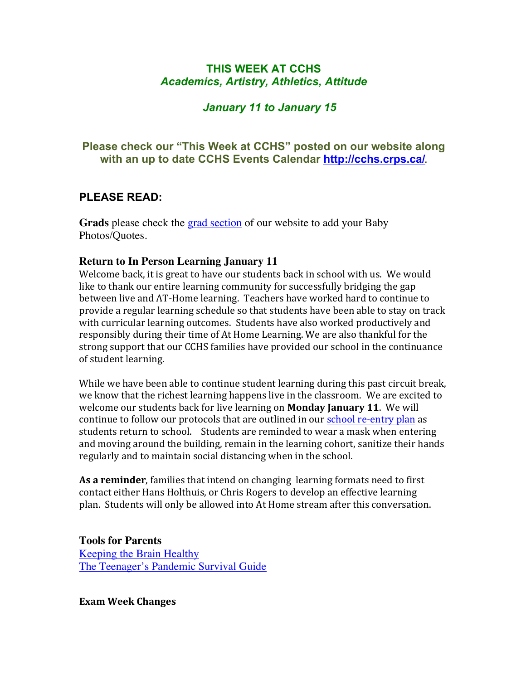## **THIS WEEK AT CCHS** *Academics, Artistry, Athletics, Attitude*

## *January 11 to January 15*

## **Please check our "This Week at CCHS" posted on our website along with an up to date CCHS Events Calendar http://cchs.crps.ca/**.

## **PLEASE READ:**

**Grads** please check the grad section of our website to add your Baby Photos/Quotes.

### **Return to In Person Learning January 11**

Welcome back, it is great to have our students back in school with us. We would like to thank our entire learning community for successfully bridging the gap between live and AT-Home learning. Teachers have worked hard to continue to provide a regular learning schedule so that students have been able to stay on track with curricular learning outcomes. Students have also worked productively and responsibly during their time of At Home Learning. We are also thankful for the strong support that our CCHS families have provided our school in the continuance of student learning.

While we have been able to continue student learning during this past circuit break, we know that the richest learning happens live in the classroom. We are excited to welcome our students back for live learning on **Monday January 11**. We will continue to follow our protocols that are outlined in our school re-entry plan as students return to school. Students are reminded to wear a mask when entering and moving around the building, remain in the learning cohort, sanitize their hands regularly and to maintain social distancing when in the school.

**As a reminder**, families that intend on changing learning formats need to first contact either Hans Holthuis, or Chris Rogers to develop an effective learning plan. Students will only be allowed into At Home stream after this conversation.

**Tools for Parents** Keeping the Brain Healthy The Teenager's Pandemic Survival Guide

**Exam Week Changes**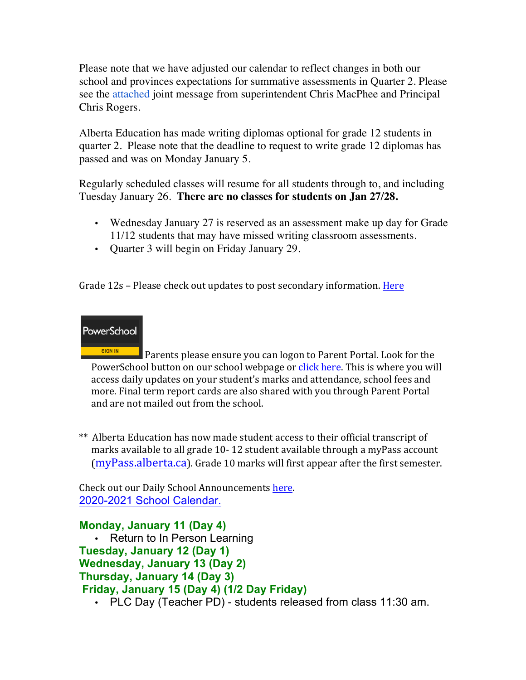Please note that we have adjusted our calendar to reflect changes in both our school and provinces expectations for summative assessments in Quarter 2. Please see the attached joint message from superintendent Chris MacPhee and Principal Chris Rogers.

Alberta Education has made writing diplomas optional for grade 12 students in quarter 2. Please note that the deadline to request to write grade 12 diplomas has passed and was on Monday January 5.

Regularly scheduled classes will resume for all students through to, and including Tuesday January 26. **There are no classes for students on Jan 27/28.**

- Wednesday January 27 is reserved as an assessment make up day for Grade 11/12 students that may have missed writing classroom assessments.
- Quarter 3 will begin on Friday January 29.

Grade  $12s$  – Please check out updates to post secondary information. Here

# **PowerSchool**

SIGN IN Parents please ensure you can logon to Parent Portal. Look for the PowerSchool button on our school webpage or click here. This is where you will access daily updates on your student's marks and attendance, school fees and more. Final term report cards are also shared with you through Parent Portal and are not mailed out from the school.

\*\* Alberta Education has now made student access to their official transcript of marks available to all grade 10-12 student available through a myPass account  $(mvPass.alberta.ca)$ . Grade 10 marks will first appear after the first semester.

Check out our Daily School Announcements here. 2020-2021 School Calendar.

## **Monday, January 11 (Day 4)**

• Return to In Person Learning **Tuesday, January 12 (Day 1) Wednesday, January 13 (Day 2) Thursday, January 14 (Day 3) Friday, January 15 (Day 4) (1/2 Day Friday)**

• PLC Day (Teacher PD) - students released from class 11:30 am.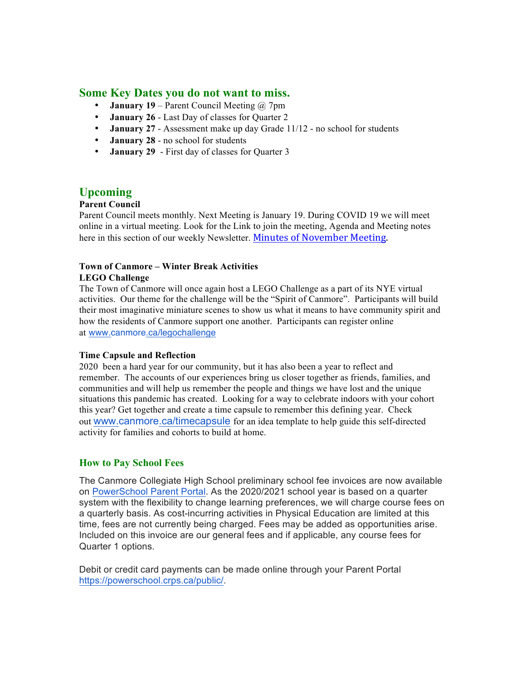### **Some Key Dates you do not want to miss.**

- **January 19** Parent Council Meeting @ 7pm
- **January 26** Last Day of classes for Quarter 2
- **January 27** Assessment make up day Grade 11/12 no school for students
- **January 28** no school for students
- **January 29** First day of classes for Quarter 3

### **Upcoming**

#### **Parent Council**

Parent Council meets monthly. Next Meeting is January 19. During COVID 19 we will meet online in a virtual meeting. Look for the Link to join the meeting, Agenda and Meeting notes here in this section of our weekly Newsletter. Minutes of November Meeting.

#### **Town of Canmore – Winter Break Activities LEGO Challenge**

The Town of Canmore will once again host a LEGO Challenge as a part of its NYE virtual activities. Our theme for the challenge will be the "Spirit of Canmore". Participants will build their most imaginative miniature scenes to show us what it means to have community spirit and how the residents of Canmore support one another. Participants can register online at www.canmore.ca/legochallenge

#### **Time Capsule and Reflection**

2020 been a hard year for our community, but it has also been a year to reflect and remember. The accounts of our experiences bring us closer together as friends, families, and communities and will help us remember the people and things we have lost and the unique situations this pandemic has created. Looking for a way to celebrate indoors with your cohort this year? Get together and create a time capsule to remember this defining year. Check out www.canmore.ca/timecapsule for an idea template to help guide this self-directed activity for families and cohorts to build at home.

#### **How to Pay School Fees**

The Canmore Collegiate High School preliminary school fee invoices are now available on PowerSchool Parent Portal. As the 2020/2021 school year is based on a quarter system with the flexibility to change learning preferences, we will charge course fees on a quarterly basis. As cost-incurring activities in Physical Education are limited at this time, fees are not currently being charged. Fees may be added as opportunities arise. Included on this invoice are our general fees and if applicable, any course fees for Quarter 1 options.

Debit or credit card payments can be made online through your Parent Portal https://powerschool.crps.ca/public/.